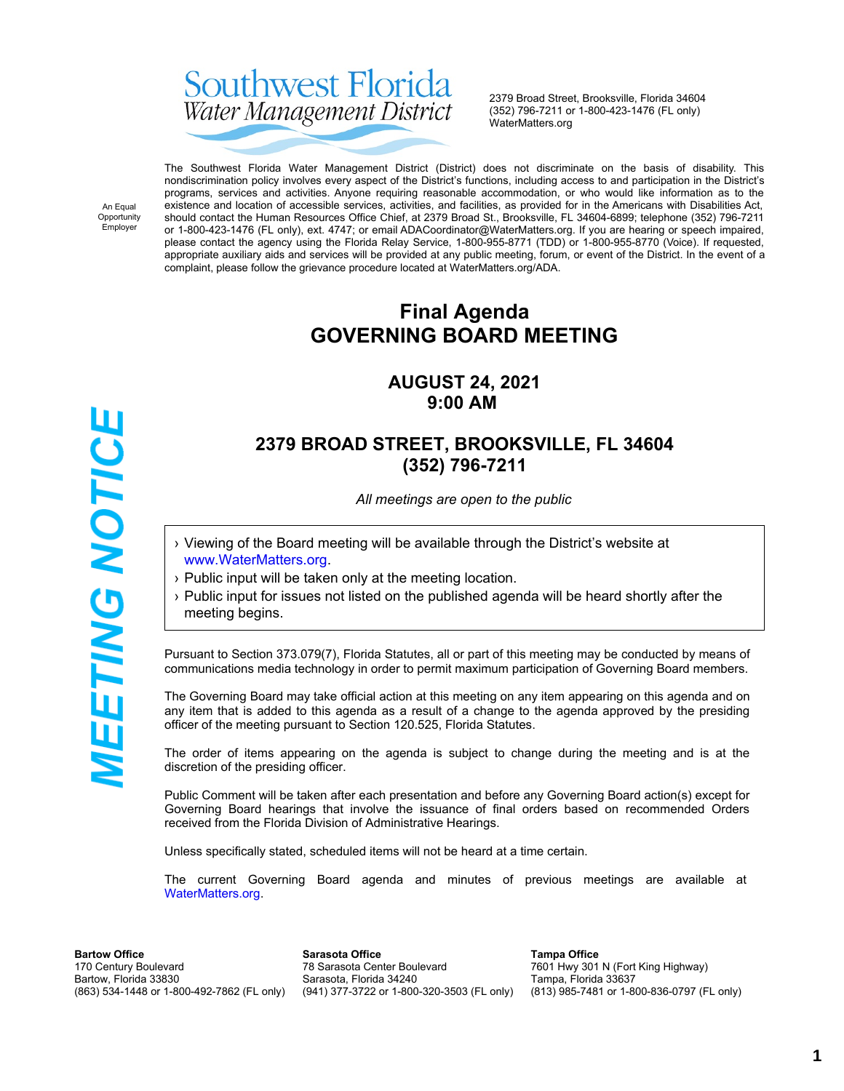# Southwest Florida Water Management District

2379 Broad Street, Brooksville, Florida 34604 (352) 796-7211 or 1-800-423-1476 (FL only) WaterMatters.org

An Equal Opportunity Employer

**WEETING NOTICE** 

The Southwest Florida Water Management District (District) does not discriminate on the basis of disability. This nondiscrimination policy involves every aspect of the District's functions, including access to and participation in the District's programs, services and activities. Anyone requiring reasonable accommodation, or who would like information as to the existence and location of accessible services, activities, and facilities, as provided for in the Americans with Disabilities Act, should contact the Human Resources Office Chief, at 2379 Broad St., Brooksville, FL 34604-6899; telephone (352) 796-7211 or 1-800-423-1476 (FL only), ext. 4747; or email ADACoordinator@WaterMatters.org. If you are hearing or speech impaired, please contact the agency using the Florida Relay Service, 1-800-955-8771 (TDD) or 1-800-955-8770 (Voice). If requested, appropriate auxiliary aids and services will be provided at any public meeting, forum, or event of the District. In the event of a complaint, please follow the grievance procedure located at WaterMatters.org/ADA.

# **Final Agenda GOVERNING BOARD MEETING**

# **AUGUST 24, 2021 9:00 AM**

# **2379 BROAD STREET, BROOKSVILLE, FL 34604 (352) 796-7211**

*All meetings are open to the public*

- › Viewing of the Board meeting will be available through the District's website at [www.WaterMatters.org](https://www.watermatters.org/).
- › Public input will be taken only at the meeting location.
- › Public input for issues not listed on the published agenda will be heard shortly after the meeting begins.

Pursuant to Section 373.079(7), Florida Statutes, all or part of this meeting may be conducted by means of communications media technology in order to permit maximum participation of Governing Board members.

The Governing Board may take official action at this meeting on any item appearing on this agenda and on any item that is added to this agenda as a result of a change to the agenda approved by the presiding officer of the meeting pursuant to Section 120.525, Florida Statutes.

The order of items appearing on the agenda is subject to change during the meeting and is at the discretion of the presiding officer.

Public Comment will be taken after each presentation and before any Governing Board action(s) except for Governing Board hearings that involve the issuance of final orders based on recommended Orders received from the Florida Division of Administrative Hearings.

Unless specifically stated, scheduled items will not be heard at a time certain.

The current Governing Board agenda and minutes of previous meetings are available at [WaterMatters.org](https://www.watermatters.org).

**Bartow Office** 170 Century Boulevard Bartow, Florida 33830 (863) 534-1448 or 1-800-492-7862 (FL only)

**Sarasota Office** 78 Sarasota Center Boulevard Sarasota, Florida 34240 (941) 377-3722 or 1-800-320-3503 (FL only)

**Tampa Office** 7601 Hwy 301 N (Fort King Highway) Tampa, Florida 33637 (813) 985-7481 or 1-800-836-0797 (FL only)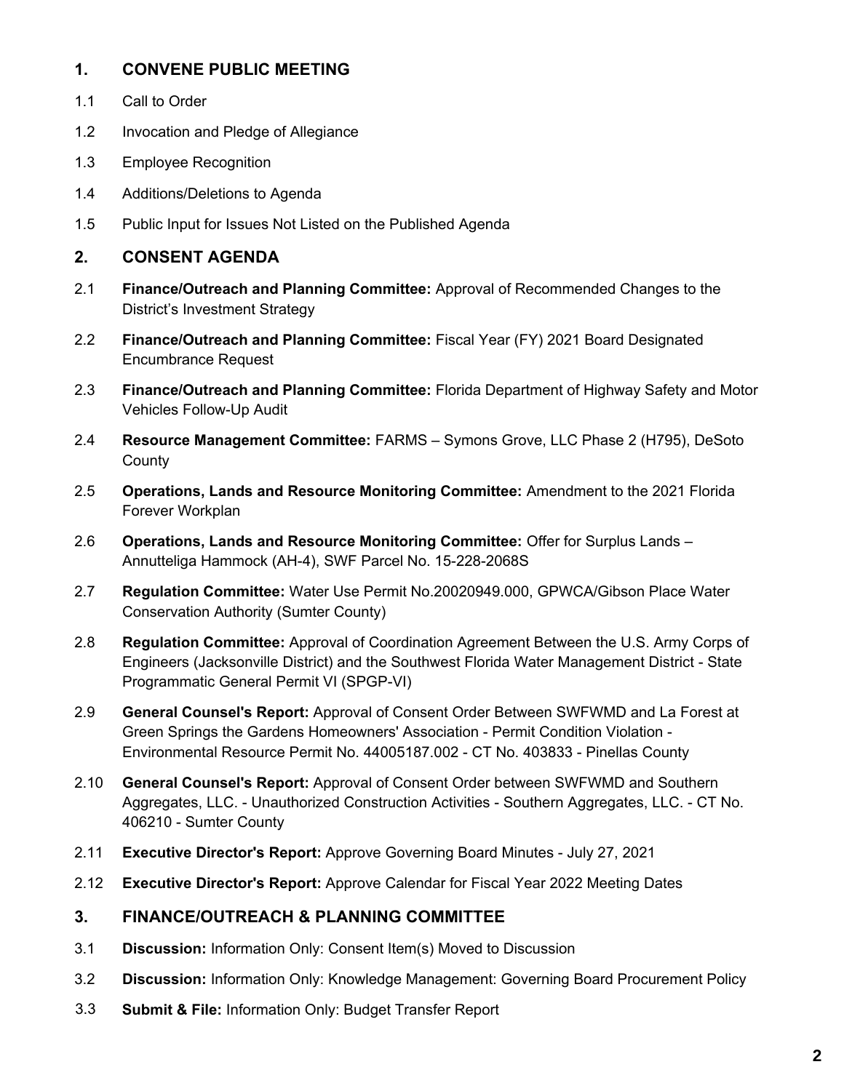### **1. CONVENE PUBLIC MEETING**

- 1.1 Call to Order
- 1.2 Invocation and Pledge of Allegiance
- 1.3 Employee Recognition
- 1.4 Additions/Deletions to Agenda
- 1.5 Public Input for Issues Not Listed on the Published Agenda

### **2. CONSENT AGENDA**

- 2.1 **Finance/Outreach and Planning Committee:** Approval of Recommended Changes to the District's Investment Strategy
- 2.2 **Finance/Outreach and Planning Committee:** Fiscal Year (FY) 2021 Board Designated Encumbrance Request
- 2.3 **Finance/Outreach and Planning Committee:** Florida Department of Highway Safety and Motor Vehicles Follow-Up Audit
- 2.4 **Resource Management Committee:** FARMS Symons Grove, LLC Phase 2 (H795), DeSoto **County**
- 2.5 **Operations, Lands and Resource Monitoring Committee:** Amendment to the 2021 Florida Forever Workplan
- 2.6 **Operations, Lands and Resource Monitoring Committee:** Offer for Surplus Lands Annutteliga Hammock (AH-4), SWF Parcel No. 15-228-2068S
- 2.7 **Regulation Committee:** Water Use Permit No.20020949.000, GPWCA/Gibson Place Water Conservation Authority (Sumter County)
- 2.8 **Regulation Committee:** Approval of Coordination Agreement Between the U.S. Army Corps of Engineers (Jacksonville District) and the Southwest Florida Water Management District - State Programmatic General Permit VI (SPGP-VI)
- 2.9 **General Counsel's Report:** Approval of Consent Order Between SWFWMD and La Forest at Green Springs the Gardens Homeowners' Association - Permit Condition Violation - Environmental Resource Permit No. 44005187.002 - CT No. 403833 - Pinellas County
- 2.10 **General Counsel's Report:** Approval of Consent Order between SWFWMD and Southern Aggregates, LLC. - Unauthorized Construction Activities - Southern Aggregates, LLC. - CT No. 406210 - Sumter County
- 2.11 **Executive Director's Report:** Approve Governing Board Minutes July 27, 2021
- 2.12 **Executive Director's Report:** Approve Calendar for Fiscal Year 2022 Meeting Dates

#### **3. FINANCE/OUTREACH & PLANNING COMMITTEE**

- 3.1 **Discussion:** Information Only: Consent Item(s) Moved to Discussion
- 3.2 **Discussion:** Information Only: Knowledge Management: Governing Board Procurement Policy
- 3.3 **Submit & File:** Information Only: Budget Transfer Report